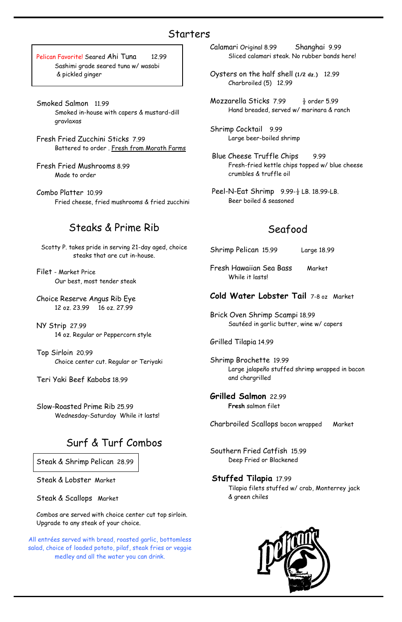Pelican Favorite! Seared Ahi Tuna 12.99 Sashimi grade seared tuna w/ wasabi & pickled ginger

- Smoked Salmon 11.99 Smoked in-house with capers & mustard-dill gravlaxas
- Fresh Fried Zucchini Sticks 7.99 Battered to order . Fresh from Morath Farms
- Fresh Fried Mushrooms 8.99 Made to order
- Combo Platter 10.99 Fried cheese, fried mushrooms & fried zucchini

### Steaks & Prime Rib

Scotty P. takes pride in serving 21-day aged, choice steaks that are cut in-house.

Filet - Market Price Our best, most tender steak

Choice Reserve Angus Rib Eye 12 oz. 23.99 16 oz. 27.99

NY Strip 27.99 14 oz. Regular or Peppercorn style

Top Sirloin 20.99 Choice center cut. Regular or Teriyaki

Teri Yaki Beef Kabobs 18.99

Slow-Roasted Prime Rib 25.99 Wednesday-Saturday While it lasts!

## Surf & Turf Combos

Steak & Shrimp Pelican 28.99

Steak & Lobster Market

Steak & Scallops Market

Combos are served with choice center cut top sirloin. Upgrade to any steak of your choice.

Calamari Original 8.99 Shanghai 9.99 Sliced calamari steak. No rubber bands here!

- Oysters on the half shell **(1/2 dz.)** 12.99 Charbroiled (5) 12.99
- Mozzarella Sticks 7.99  $\frac{1}{2}$  order 5.99 Hand breaded, served w/ marinara & ranch
- Shrimp Cocktail 9.99 Large beer-boiled shrimp
- Blue Cheese Truffle Chips 9.99 Fresh-fried kettle chips topped w/ blue cheese crumbles & truffle oil
- Peel-N-Eat Shrimp  $9.99-\frac{1}{2}$  LB. 18.99-LB. Beer boiled & seasoned

## Seafood

Shrimp Pelican 15.99 Large 18.99

Fresh Hawaiian Sea Bass Market While it lasts!

#### **Cold Water Lobster Tail** 7-8 oz Market

Brick Oven Shrimp Scampi 18.99 Sautéed in garlic butter, wine w/ capers

Grilled Tilapia 14.99

Shrimp Brochette 19.99 Large jalapeño stuffed shrimp wrapped in bacon and chargrilled

**Grilled Salmon** 22.99 **Fresh** salmon filet

Charbroiled Scallops bacon wrapped Market

Southern Fried Catfish 15.99

Deep Fried or Blackened

#### **Stuffed Tilapia** 17.99

Tilapia filets stuffed w/ crab, Monterrey jack & green chiles



#### Starters

All entrées served with bread, roasted garlic, bottomless salad, choice of loaded potato, pilaf, steak fries or veggie medley and all the water you can drink.